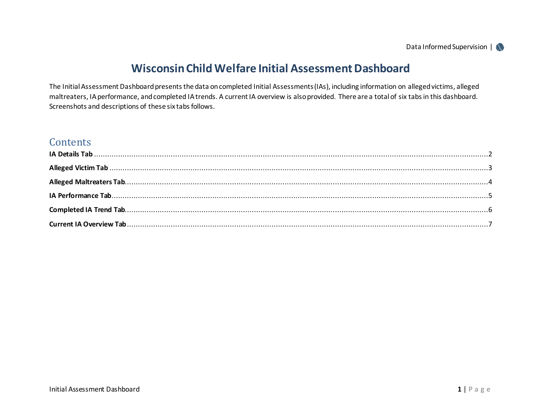# **Wisconsin Child Welfare Initial Assessment Dashboard**

The Initial Assessment Dashboard presents the data on completed Initial Assessments (IAs), including information on alleged victims, alleged maltreaters, IA performance, and completed IA trends. A current IA overview is also provided. There are a total of six tabs in this dashboard. Screenshots and descriptions of these six tabs follows.

# **Contents**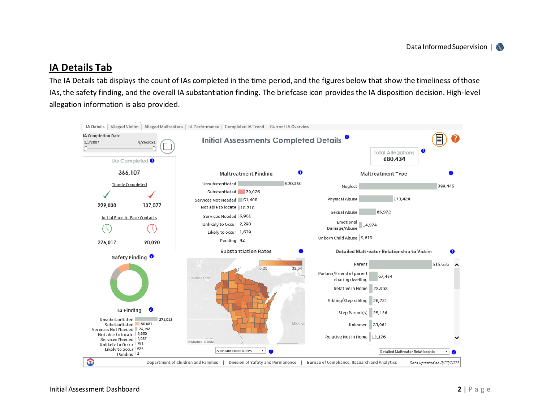## <span id="page-1-0"></span>**IA Details Tab**

The IA Details tab displays the count of IAs completed in the time period, and the figures below that show the timeliness of those IAs, the safety finding, and the overall IA substantiation finding. The briefcase icon provides the IA disposition decision. High-level allegation information is also provided.

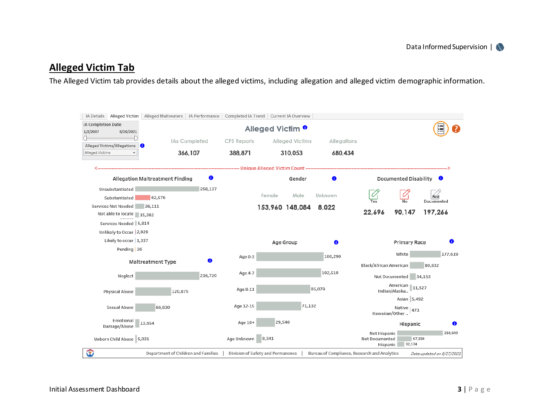# <span id="page-2-0"></span>**Alleged Victim Tab**

The Alleged Victim tab provides details about the alleged victims, including allegation and alleged victim demographic information.

| IA Details Alleged Victim   Alleged Maltreaters   IA Performance   Completed IA Trend   Current IA Overview |                                     |           |             |                                   |        |                                              |                                            |                                 |                           |         |  |
|-------------------------------------------------------------------------------------------------------------|-------------------------------------|-----------|-------------|-----------------------------------|--------|----------------------------------------------|--------------------------------------------|---------------------------------|---------------------------|---------|--|
| IA Completion Date<br>1/3/2007<br>8/26/2021                                                                 |                                     |           |             | Alleged Victim <sup>0</sup>       |        |                                              |                                            |                                 |                           |         |  |
| Alleged Victims/Allegations                                                                                 | IAs Completed<br>366,107            |           | CPS Reports | <b>Alleged Victims</b>            |        | Allegations                                  |                                            |                                 |                           |         |  |
| Alleged Victims                                                                                             |                                     |           | 388,871     | 310,053                           |        | 680,434                                      |                                            |                                 |                           |         |  |
|                                                                                                             |                                     |           |             |                                   |        |                                              |                                            |                                 |                           |         |  |
|                                                                                                             | Allegation Maltreatment Finding     | $\bullet$ |             |                                   | Gender | $\bullet$                                    |                                            | <b>Documented Disability</b>    | O                         |         |  |
| Unsubstantiated                                                                                             |                                     | 258,137   |             |                                   |        |                                              |                                            |                                 |                           |         |  |
| Substantiated                                                                                               | 62,576                              |           |             | Female                            | Male   | Unknown                                      |                                            |                                 | <b>Not</b><br>Documented  |         |  |
| Services Not Needed 36,111<br>Not able to locate 15,382                                                     |                                     |           |             | 153,960 148,084                   |        | 8,022                                        | 22,696                                     | 90,147                          | 197,266                   |         |  |
| Services Needed 5,814                                                                                       |                                     |           |             |                                   |        |                                              |                                            |                                 |                           |         |  |
| Unlikely to Occur 2,028                                                                                     |                                     |           |             |                                   |        |                                              |                                            |                                 |                           |         |  |
| Likely to occur 1,337                                                                                       |                                     |           |             |                                   |        |                                              |                                            |                                 |                           | 6       |  |
| Pending 36                                                                                                  |                                     |           |             | Age Group                         |        | ➊                                            |                                            | <b>Primary Race</b>             |                           |         |  |
|                                                                                                             | <b>Maltreatment Type</b>            | 0         | Age 0-3     |                                   |        | 106,290                                      |                                            | White                           |                           | 177,619 |  |
|                                                                                                             |                                     |           |             |                                   |        |                                              | Black/African American                     |                                 | 80,832                    |         |  |
| Neglect                                                                                                     |                                     | 216,720   | Age 4-7     |                                   |        | 102,510                                      |                                            | Not Documented 34,153           |                           |         |  |
| <b>Physical Abuse</b>                                                                                       | 120,875                             |           | Age 8-11    |                                   | 85,079 | American 11,527<br>Indian/Alaska             |                                            |                                 |                           |         |  |
|                                                                                                             |                                     |           |             |                                   |        |                                              |                                            | Asian 5,492                     |                           |         |  |
| Sexual Abuse                                                                                                | 66,830                              |           | Age 12-15   |                                   | 71,132 |                                              |                                            | Native<br>473<br>Hawaiian/Other |                           |         |  |
| Emotional<br>Damage/Abuse                                                                                   | 13,654                              |           | Age 16+     | 29,540                            |        |                                              |                                            | Hispanic                        |                           | 0       |  |
| Unborn Child Abuse 5,031                                                                                    |                                     |           | Age Unknown | 8,341                             |        |                                              | Not Hispanic<br>Not Documented<br>Hispanic | 67,330<br>32,174                |                           | 210,600 |  |
| ☜                                                                                                           | Department of Children and Families |           |             | Division of Safety and Permanence |        | Bureau of Compliance, Research and Analytics |                                            |                                 | Data updated on 8/27/2021 |         |  |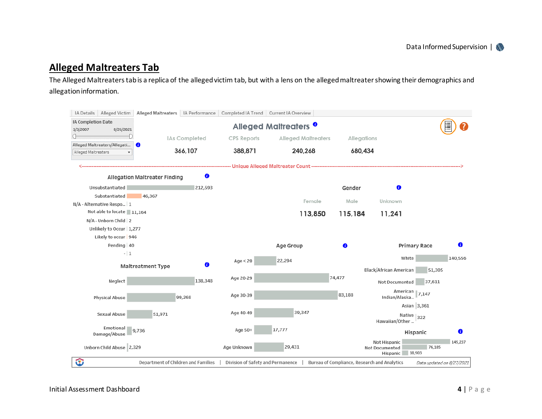#### <span id="page-3-0"></span>**Alleged Maltreaters Tab**

The Alleged Maltreaters tab is a replica of the alleged victim tab, but with a lens on the alleged maltreater showing their demographics and allegation information.

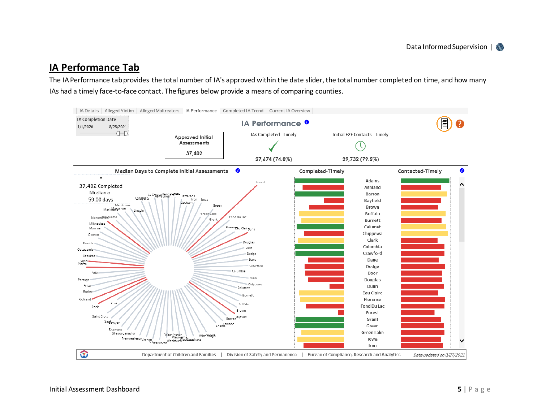### <span id="page-4-0"></span>**IA Performance Tab**

The IA Performance tab provides the total number of IA's approved within the date slider, the total number completed on time, and how many IAs had a timely face-to-face contact. The figures below provide a means of comparing counties.

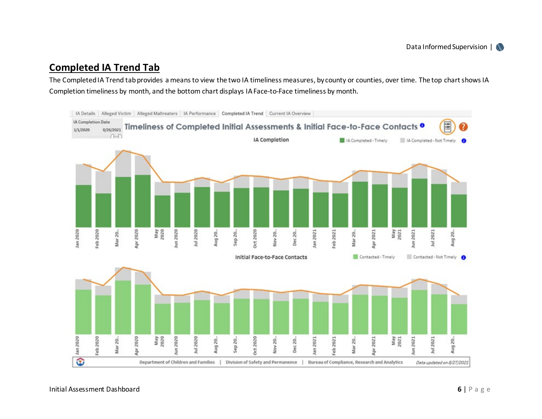## <span id="page-5-0"></span>**Completed IA Trend Tab**

The Completed IA Trend tab provides a means to view the two IA timeliness measures, by county or counties, over time. The top chart shows IA Completion timeliness by month, and the bottom chart displays IA Face-to-Face timeliness by month.